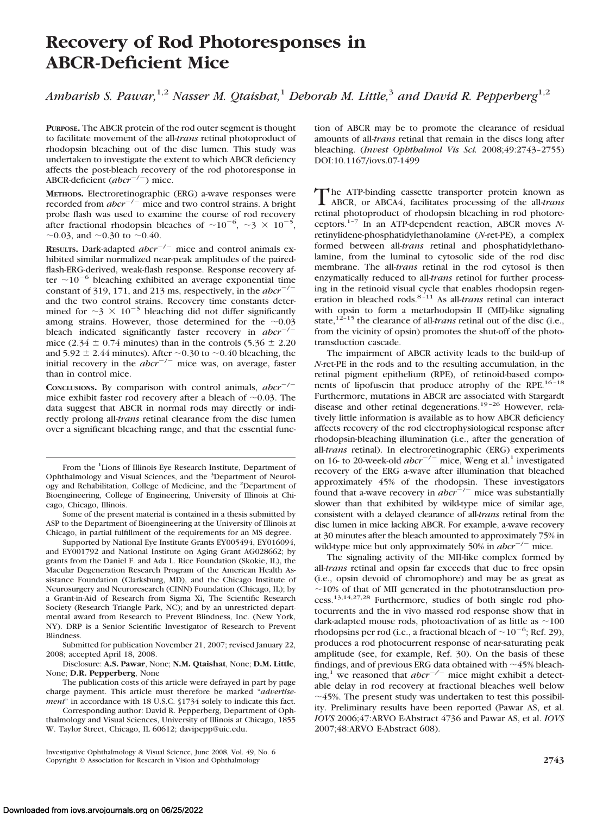# **Recovery of Rod Photoresponses in ABCR-Deficient Mice**

*Ambarish S. Pawar,*1,2 *Nasser M. Qtaishat,*<sup>1</sup> *Deborah M. Little,*<sup>3</sup> *and David R. Pepperberg*1,2

**PURPOSE.** The ABCR protein of the rod outer segment is thought to facilitate movement of the all-*trans* retinal photoproduct of rhodopsin bleaching out of the disc lumen. This study was undertaken to investigate the extent to which ABCR deficiency affects the post-bleach recovery of the rod photoresponse in ABCR-deficient (abcr<sup>-/-</sup>) mice.

**METHODS.** Electroretinographic (ERG) a-wave responses were recorded from  $abcr^{-/-}$  mice and two control strains. A bright probe flash was used to examine the course of rod recovery after fractional rhodopsin bleaches of  $\sim 10^{-6}$ ,  $\sim$ 3  $\times$  10<sup>-5</sup>, ~0.03, and ~0.30 to ~0.40.

**RESULTS.** Dark-adapted  $abcr^{-/-}$  mice and control animals exhibited similar normalized near-peak amplitudes of the pairedflash-ERG-derived, weak-flash response. Response recovery after  $\sim$ 10<sup>-6</sup> bleaching exhibited an average exponential time constant of 319, 171, and 213 ms, respectively, in the  $abcr^{-/-}$ and the two control strains. Recovery time constants determined for  $\sim$ 3  $\times$  10<sup>-5</sup> bleaching did not differ significantly among strains. However, those determined for the  $\sim 0.03$ bleach indicated significantly faster recovery in  $abcr^{-1}$ mice (2.34  $\pm$  0.74 minutes) than in the controls (5.36  $\pm$  2.20 and  $5.92 \pm 2.44$  minutes). After  $\sim 0.30$  to  $\sim 0.40$  bleaching, the initial recovery in the  $abcr^{-/-}$  mice was, on average, faster than in control mice.

CONCLUSIONS. By comparison with control animals, *abcr*<sup>-/-</sup> mice exhibit faster rod recovery after a bleach of  $\sim$  0.03. The data suggest that ABCR in normal rods may directly or indirectly prolong all-*trans* retinal clearance from the disc lumen over a significant bleaching range, and that the essential func-

From the <sup>1</sup>Lions of Illinois Eye Research Institute, Department of Ophthalmology and Visual Sciences, and the <sup>3</sup>Department of Neurology and Rehabilitation, College of Medicine, and the <sup>2</sup>Department of Bioengineering, College of Engineering, University of Illinois at Chicago, Chicago, Illinois.

Some of the present material is contained in a thesis submitted by ASP to the Department of Bioengineering at the University of Illinois at Chicago, in partial fulfillment of the requirements for an MS degree.

Supported by National Eye Institute Grants EY005494, EY016094, and EY001792 and National Institute on Aging Grant AG028662; by grants from the Daniel F. and Ada L. Rice Foundation (Skokie, IL), the Macular Degeneration Research Program of the American Health Assistance Foundation (Clarksburg, MD), and the Chicago Institute of Neurosurgery and Neuroresearch (CINN) Foundation (Chicago, IL); by a Grant-in-Aid of Research from Sigma Xi, The Scientific Research Society (Research Triangle Park, NC); and by an unrestricted departmental award from Research to Prevent Blindness, Inc. (New York, NY). DRP is a Senior Scientific Investigator of Research to Prevent **Blindness** 

Submitted for publication November 21, 2007; revised January 22, 2008; accepted April 18, 2008.

Disclosure: **A.S. Pawar**, None; **N.M. Qtaishat**, None; **D.M. Little**, None; **D.R. Pepperberg**, None

The publication costs of this article were defrayed in part by page charge payment. This article must therefore be marked "*advertisement*" in accordance with 18 U.S.C. §1734 solely to indicate this fact.

Corresponding author: David R. Pepperberg, Department of Ophthalmology and Visual Sciences, University of Illinois at Chicago, 1855 W. Taylor Street, Chicago, IL 60612; davipepp@uic.edu.

tion of ABCR may be to promote the clearance of residual amounts of all-*trans* retinal that remain in the discs long after bleaching. (*Invest Ophthalmol Vis Sci.* 2008;49:2743–2755) DOI:10.1167/iovs.07-1499

The ATP-binding cassette transporter protein known as ABCR, or ABCA4, facilitates processing of the all-*trans* retinal photoproduct of rhodopsin bleaching in rod photoreceptors.1–7 In an ATP-dependent reaction, ABCR moves *N*retinylidene-phosphatidylethanolamine (*N*-ret-PE), a complex formed between all-*trans* retinal and phosphatidylethanolamine, from the luminal to cytosolic side of the rod disc membrane. The all-*trans* retinal in the rod cytosol is then enzymatically reduced to all-*trans* retinol for further processing in the retinoid visual cycle that enables rhodopsin regeneration in bleached rods.8 –11 As all*-trans* retinal can interact with opsin to form a metarhodopsin II (MII)-like signaling state,<sup>12-15</sup> the clearance of all-*trans* retinal out of the disc (i.e., from the vicinity of opsin) promotes the shut-off of the phototransduction cascade.

The impairment of ABCR activity leads to the build-up of *N*-ret-PE in the rods and to the resulting accumulation, in the retinal pigment epithelium (RPE), of retinoid-based components of lipofuscin that produce atrophy of the RPE.<sup>16-18</sup> Furthermore, mutations in ABCR are associated with Stargardt disease and other retinal degenerations.<sup>19-26</sup> However, relatively little information is available as to how ABCR deficiency affects recovery of the rod electrophysiological response after rhodopsin-bleaching illumination (i.e., after the generation of all-*trans* retinal). In electroretinographic (ERG) experiments on 16- to 20-week-old *abcr<sup>-/-</sup>* mice, Weng et al.<sup>1</sup> investigated recovery of the ERG a-wave after illumination that bleached approximately 45% of the rhodopsin. These investigators found that a-wave recovery in  $abcr^{-/-}$  mice was substantially slower than that exhibited by wild-type mice of similar age, consistent with a delayed clearance of all-*trans* retinal from the disc lumen in mice lacking ABCR. For example, a-wave recovery at 30 minutes after the bleach amounted to approximately 75% in wild-type mice but only approximately 50% in  $abcr^{-/-}$  mice.

The signaling activity of the MII-like complex formed by all-*trans* retinal and opsin far exceeds that due to free opsin (i.e., opsin devoid of chromophore) and may be as great as  $\sim$ 10% of that of MII generated in the phototransduction process.13,14,27,28 Furthermore, studies of both single rod photocurrents and the in vivo massed rod response show that in dark-adapted mouse rods, photoactivation of as little as  $\sim$  100 rhodopsins per rod (i.e., a fractional bleach of  $\sim 10^{-6}$ ; Ref. 29), produces a rod photocurrent response of near-saturating peak amplitude (see, for example, Ref. 30). On the basis of these findings, and of previous ERG data obtained with  $\sim$  45% bleaching,<sup>1</sup> we reasoned that  $abcr^{-/-}$  mice might exhibit a detectable delay in rod recovery at fractional bleaches well below  $\sim$  45%. The present study was undertaken to test this possibility. Preliminary results have been reported (Pawar AS, et al. *IOVS* 2006;47:ARVO E-Abstract 4736 and Pawar AS, et al. *IOVS* 2007;48:ARVO E-Abstract 608).

Investigative Ophthalmology & Visual Science, June 2008, Vol. 49, No. 6 Copyright © Association for Research in Vision and Ophthalmology **2743**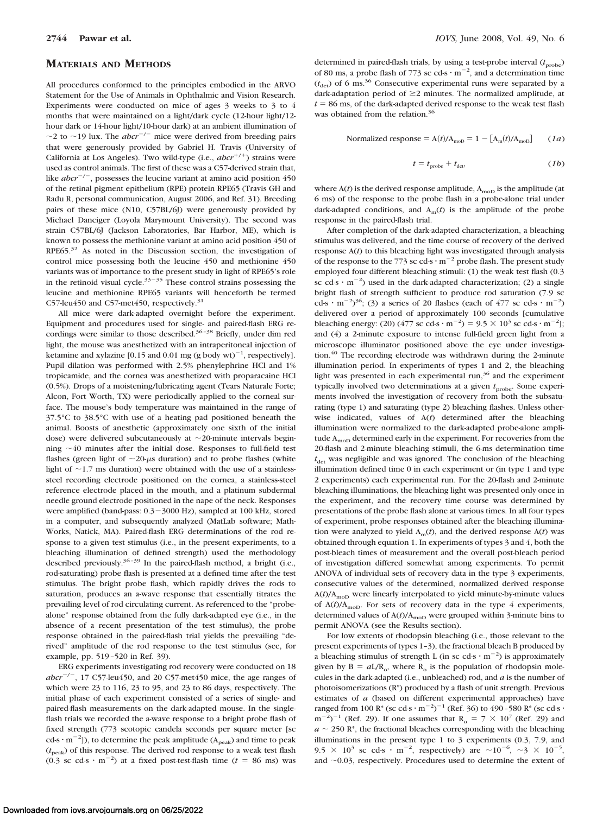#### **MATERIALS AND METHODS**

All procedures conformed to the principles embodied in the ARVO Statement for the Use of Animals in Ophthalmic and Vision Research. Experiments were conducted on mice of ages 3 weeks to 3 to 4 months that were maintained on a light/dark cycle (12-hour light/12 hour dark or 14-hour light/10-hour dark) at an ambient illumination of  $\sim$ 2 to  $\sim$ 19 lux. The *abcr*<sup>-/-</sup> mice were derived from breeding pairs that were generously provided by Gabriel H. Travis (University of California at Los Angeles). Two wild-type (i.e.,  $abcr^{+/+}$ ) strains were used as control animals. The first of these was a C57-derived strain that, like  $abcr^{-/-}$ , possesses the leucine variant at amino acid position 450 of the retinal pigment epithelium (RPE) protein RPE65 (Travis GH and Radu R, personal communication, August 2006, and Ref. 31). Breeding pairs of these mice (N10, C57BL/6J) were generously provided by Michael Danciger (Loyola Marymount University). The second was strain C57BL/6J (Jackson Laboratories, Bar Harbor, ME), which is known to possess the methionine variant at amino acid position 450 of  $RPE65<sup>32</sup>$  As noted in the Discussion section, the investigation of control mice possessing both the leucine 450 and methionine 450 variants was of importance to the present study in light of RPE65's role in the retinoid visual cycle. $33-35$  These control strains possessing the leucine and methionine RPE65 variants will henceforth be termed C57-leu450 and C57-met450, respectively.<sup>31</sup>

All mice were dark-adapted overnight before the experiment. Equipment and procedures used for single- and paired-flash ERG recordings were similar to those described.<sup>36-38</sup> Briefly, under dim red light, the mouse was anesthetized with an intraperitoneal injection of ketamine and xylazine [0.15 and 0.01 mg (g body wt)<sup>-1</sup>, respectively]. Pupil dilation was performed with 2.5% phenylephrine HCl and 1% tropicamide, and the cornea was anesthetized with proparacaine HCl (0.5%). Drops of a moistening/lubricating agent (Tears Naturale Forte; Alcon, Fort Worth, TX) were periodically applied to the corneal surface. The mouse's body temperature was maintained in the range of 37.5°C to 38.5°C with use of a heating pad positioned beneath the animal. Boosts of anesthetic (approximately one sixth of the initial dose) were delivered subcutaneously at  $\sim$ 20-minute intervals beginning  $\sim$  40 minutes after the initial dose. Responses to full-field test flashes (green light of  $\sim$ 20- $\mu$ s duration) and to probe flashes (white light of  $\sim$ 1.7 ms duration) were obtained with the use of a stainlesssteel recording electrode positioned on the cornea, a stainless-steel reference electrode placed in the mouth, and a platinum subdermal needle ground electrode positioned in the nape of the neck. Responses were amplified (band-pass: 0.3-3000 Hz), sampled at 100 kHz, stored in a computer, and subsequently analyzed (MatLab software; Math-Works, Natick, MA). Paired-flash ERG determinations of the rod response to a given test stimulus (i.e., in the present experiments, to a bleaching illumination of defined strength) used the methodology described previously.<sup>36-39</sup> In the paired-flash method, a bright (i.e., rod-saturating) probe flash is presented at a defined time after the test stimulus. The bright probe flash, which rapidly drives the rods to saturation, produces an a-wave response that essentially titrates the prevailing level of rod circulating current. As referenced to the "probealone" response obtained from the fully dark-adapted eye (i.e., in the absence of a recent presentation of the test stimulus), the probe response obtained in the paired-flash trial yields the prevailing "derived" amplitude of the rod response to the test stimulus (see, for example, pp. 519 –520 in Ref. 39).

ERG experiments investigating rod recovery were conducted on 18  $abcr^{-/-}$ , 17 C57-leu450, and 20 C57-met450 mice, the age ranges of which were 23 to 116, 23 to 95, and 23 to 86 days, respectively. The initial phase of each experiment consisted of a series of single- and paired-flash measurements on the dark-adapted mouse. In the singleflash trials we recorded the a-wave response to a bright probe flash of fixed strength (773 scotopic candela seconds per square meter [sc cd-s  $\cdot$  m<sup>-2</sup>]), to determine the peak amplitude (A<sub>peak</sub>) and time to peak  $(t_{\text{peak}})$  of this response. The derived rod response to a weak test flash  $(0.3 \text{ sc } cd\text{-s} \cdot \text{m}^{-2})$  at a fixed post-test-flash time ( $t = 86 \text{ ms}$ ) was

determined in paired-flash trials, by using a test-probe interval ( $t_{\text{probe}}$ ) of 80 ms, a probe flash of 773 sc cd-s  $\cdot$  m<sup>-2</sup>, and a determination time  $(t<sub>det</sub>)$  of 6 ms.<sup>36</sup> Consecutive experimental runs were separated by a dark-adaptation period of  $\geq$ 2 minutes. The normalized amplitude, at  $t = 86$  ms, of the dark-adapted derived response to the weak test flash was obtained from the relation.<sup>36</sup>

$$
normalized response = A(t)/A_{\text{mol}} = 1 - [A_{\text{m}}(t)/A_{\text{mol}}] \qquad (1a)
$$

$$
t = t_{\text{probe}} + t_{\text{det}}, \tag{1b}
$$

where  $A(t)$  is the derived response amplitude,  $A_{\text{mod}}$  is the amplitude (at 6 ms) of the response to the probe flash in a probe-alone trial under dark-adapted conditions, and  $A_m(t)$  is the amplitude of the probe response in the paired-flash trial.

After completion of the dark-adapted characterization, a bleaching stimulus was delivered, and the time course of recovery of the derived response A(*t*) to this bleaching light was investigated through analysis of the response to the 773 sc cd-s $\cdot$  m<sup>-2</sup> probe flash. The present study employed four different bleaching stimuli: (1) the weak test flash (0.3 sc cd-s  $\cdot$  m<sup>-2</sup>) used in the dark-adapted characterization; (2) a single bright flash of strength sufficient to produce rod saturation (7.9 sc cd-s  $\cdot$  m<sup>-2</sup>)<sup>36</sup>; (3) a series of 20 flashes (each of 477 sc cd-s  $\cdot$  m<sup>-2</sup>) delivered over a period of approximately 100 seconds [cumulative bleaching energy: (20) (477 sc cd-s  $\cdot$  m<sup>-2</sup>) = 9.5  $\times$  10<sup>3</sup> sc cd-s  $\cdot$  m<sup>-2</sup>]; and (4) a 2-minute exposure to intense full-field green light from a microscope illuminator positioned above the eye under investigation.<sup>40</sup> The recording electrode was withdrawn during the 2-minute illumination period. In experiments of types 1 and 2, the bleaching light was presented in each experimental run,<sup>36</sup> and the experiment typically involved two determinations at a given  $t_{\text{probe}}$ . Some experiments involved the investigation of recovery from both the subsaturating (type 1) and saturating (type 2) bleaching flashes. Unless otherwise indicated, values of A(*t*) determined after the bleaching illumination were normalized to the dark-adapted probe-alone amplitude  $A_{\text{mod}}$  determined early in the experiment. For recoveries from the 20-flash and 2-minute bleaching stimuli, the 6-ms determination time  $t_{\text{det}}$  was negligible and was ignored. The conclusion of the bleaching illumination defined time 0 in each experiment or (in type 1 and type 2 experiments) each experimental run. For the 20-flash and 2-minute bleaching illuminations, the bleaching light was presented only once in the experiment, and the recovery time course was determined by presentations of the probe flash alone at various times. In all four types of experiment, probe responses obtained after the bleaching illumination were analyzed to yield  $A_m(t)$ , and the derived response  $A(t)$  was obtained through equation 1. In experiments of types 3 and 4, both the post-bleach times of measurement and the overall post-bleach period of investigation differed somewhat among experiments. To permit ANOVA of individual sets of recovery data in the type 3 experiments, consecutive values of the determined, normalized derived response  $A(t)/A_{\text{mol}}$  were linearly interpolated to yield minute-by-minute values of  $A(t)/A_{\text{mol}}$ . For sets of recovery data in the type 4 experiments, determined values of  $A(t)/A_{\text{mod}}$  were grouped within 3-minute bins to permit ANOVA (see the Results section).

For low extents of rhodopsin bleaching (i.e., those relevant to the present experiments of types 1–3), the fractional bleach B produced by a bleaching stimulus of strength L (in sc cd-s  $\cdot$  m<sup>-2</sup>) is approximately given by  $B = aL/R_0$ , where  $R_0$  is the population of rhodopsin molecules in the dark-adapted (i.e., unbleached) rod, and *a* is the number of photoisomerizations (R\*) produced by a flash of unit strength. Previous estimates of *a* (based on different experimental approaches) have ranged from 100  $\mathrm{R}^*$  (sc cd-s  $\cdot$  m<sup>-2</sup>)<sup>-1</sup> (Ref. 36) to 490-580  $\mathrm{R}^*$  (sc cd-s  $\cdot$  $(m^{-2})^{-1}$  (Ref. 29). If one assumes that  $R_0 = 7 \times 10^7$  (Ref. 29) and  $a \sim 250$  R<sup>\*</sup>, the fractional bleaches corresponding with the bleaching illuminations in the present type 1 to 3 experiments (0.3, 7.9, and 9.5  $\times$  10<sup>3</sup> sc cd-s  $\cdot$  m<sup>-2</sup>, respectively) are  $\sim$ 10<sup>-6</sup>,  $\sim$ 3  $\times$  10<sup>-5</sup>, and  $\sim$  0.03, respectively. Procedures used to determine the extent of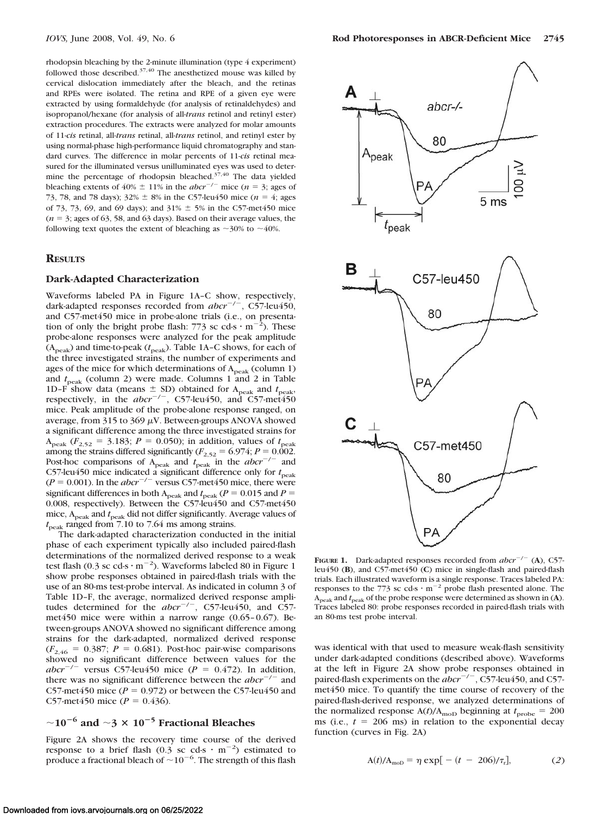rhodopsin bleaching by the 2-minute illumination (type 4 experiment) followed those described. $37,40$  The anesthetized mouse was killed by cervical dislocation immediately after the bleach, and the retinas and RPEs were isolated. The retina and RPE of a given eye were extracted by using formaldehyde (for analysis of retinaldehydes) and isopropanol/hexane (for analysis of all-*trans* retinol and retinyl ester) extraction procedures. The extracts were analyzed for molar amounts of 11-*cis* retinal, all-*trans* retinal, all-*trans* retinol, and retinyl ester by using normal-phase high-performance liquid chromatography and standard curves. The difference in molar percents of 11-*cis* retinal measured for the illuminated versus unilluminated eyes was used to determine the percentage of rhodopsin bleached. $37,40$  The data yielded bleaching extents of  $40\% \pm 11\%$  in the *abcr*<sup>-/-</sup> mice (*n* = 3; ages of 73, 78, and 78 days);  $32\% \pm 8\%$  in the C57-leu450 mice ( $n = 4$ ; ages of 73, 73, 69, and 69 days); and 31%  $\pm$  5% in the C57-met450 mice  $(n = 3;$  ages of 63, 58, and 63 days). Based on their average values, the following text quotes the extent of bleaching as  $\sim$ 30% to  $\sim$ 40%.

### **RESULTS**

#### **Dark-Adapted Characterization**

Waveforms labeled PA in Figure 1A–C show, respectively, dark-adapted responses recorded from *abcr*<sup>-/-</sup>, C57-leu450, and C57-met450 mice in probe-alone trials (i.e., on presentation of only the bright probe flash: 773 sc cd-s  $\cdot$  m<sup>-2</sup>). These probe-alone responses were analyzed for the peak amplitude (A<sub>peak</sub>) and time-to-peak ( $t_{\rm peak}$ ). Table 1A-C shows, for each of the three investigated strains, the number of experiments and ages of the mice for which determinations of  $A_{peak}$  (column 1) and  $t_{\text{peak}}$  (column 2) were made. Columns 1 and 2 in Table 1D–F show data (means  $\pm$  SD) obtained for  $A_{\text{peak}}$  and  $t_{\text{peak}}$ , respectively, in the *abcr<sup>-/-</sup>*, C57-leu450, and C57-met450 mice. Peak amplitude of the probe-alone response ranged, on average, from 315 to 369  $\mu$ V. Between-groups ANOVA showed a significant difference among the three investigated strains for  $A_{\text{peak}}$  ( $F_{2,52}$  = 3.183;  $P = 0.050$ ); in addition, values of  $t_{\text{peak}}$ among the strains differed significantly ( $F_{2,52} = 6.974$ ;  $P = 0.002$ .<br>Post-hoc comparisons of A<sub>peak</sub> and  $t_{\text{peak}}$  in the *abcr*<sup>-/-</sup> and C57-leu450 mice indicated a significant difference only for  $t_{\text{peak}}$  $(P = 0.001)$ . In the *abcr*<sup> $-/-$ </sup> versus C57-met450 mice, there were significant differences in both  $A_{\text{peak}}$  and  $t_{\text{peak}}$  ( $P = 0.015$  and  $P =$ 0.008, respectively). Between the C57-leu450 and C57-met450 mice, A<sub>peak</sub> and  $t_{\text{peak}}$  did not differ significantly. Average values of  $t_{\text{peak}}$  ranged from 7.10 to 7.64 ms among strains.

The dark-adapted characterization conducted in the initial phase of each experiment typically also included paired-flash determinations of the normalized derived response to a weak test flash (0.3 sc cd-s  $\cdot$  m<sup>-2</sup>). Waveforms labeled 80 in Figure 1 show probe responses obtained in paired-flash trials with the use of an 80-ms test-probe interval. As indicated in column 3 of Table 1D–F, the average, normalized derived response amplitudes determined for the *abcr*<sup>-/-</sup>, C57-leu450, and C57met $450$  mice were within a narrow range  $(0.65-0.67)$ . Between-groups ANOVA showed no significant difference among strains for the dark-adapted, normalized derived response  $(F_{2,46} = 0.387; P = 0.681)$ . Post-hoc pair-wise comparisons showed no significant difference between values for the *abcr*<sup>-/-</sup> versus C57-leu450 mice ( $P = 0.472$ ). In addition, there was no significant difference between the  $abcr^{-/-}$  and C57-met450 mice  $(P = 0.972)$  or between the C57-leu450 and C57-met450 mice ( $P = 0.436$ ).

# $\sim$ 10<sup>-6</sup> and  $\sim$ 3 × 10<sup>-5</sup> Fractional Bleaches

Figure 2A shows the recovery time course of the derived response to a brief flash (0.3 sc cd-s  $\cdot$  m<sup>-2</sup>) estimated to produce a fractional bleach of  $\sim$  10<sup>-6</sup>. The strength of this flash



**FIGURE 1.** Dark-adapted responses recorded from  $abcr^{-/-}$  (A), C57leu450 (**B**), and C57-met450 (**C**) mice in single-flash and paired-flash trials. Each illustrated waveform is a single response. Traces labeled PA: responses to the 773 sc cd-s  $\cdot$  m<sup>-2</sup> probe flash presented alone. The  $A_{\text{peak}}$  and  $t_{\text{peak}}$  of the probe response were determined as shown in (A). Traces labeled 80: probe responses recorded in paired-flash trials with an 80-ms test probe interval.

was identical with that used to measure weak-flash sensitivity under dark-adapted conditions (described above). Waveforms at the left in Figure 2A show probe responses obtained in paired-flash experiments on the *abcr*<sup>-/-</sup>, C57-leu450, and C57met450 mice. To quantify the time course of recovery of the paired-flash-derived response, we analyzed determinations of the normalized response  $A(t)/A_{\text{mod}}$  beginning at  $t_{\text{probe}} = 200$ ms (i.e.,  $t = 206$  ms) in relation to the exponential decay function (curves in Fig. 2A)

$$
A(t)/A_{\text{mol}} = \eta \exp[-(t - 206)/\tau_r],
$$
 (2)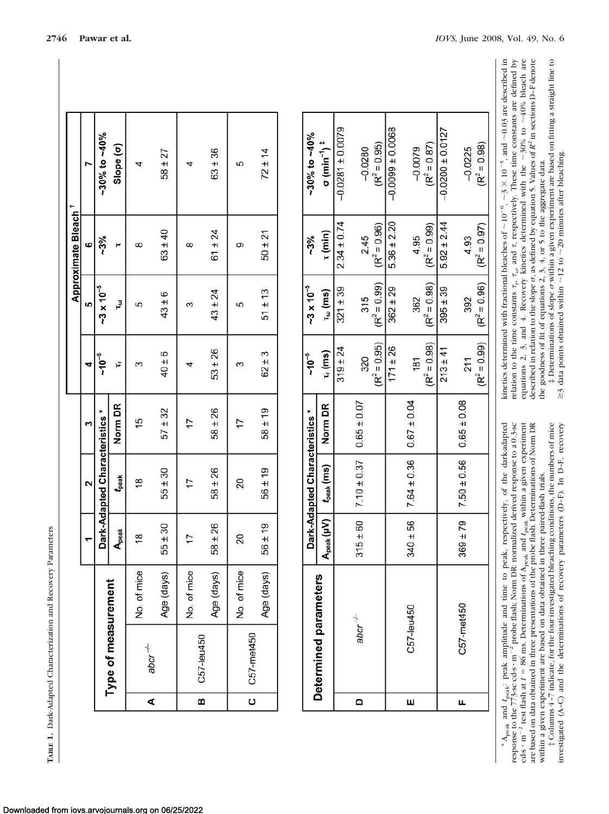| ļ<br>l                   |
|--------------------------|
| j<br>l<br>ļ<br>í         |
| くらい いいい<br>ı<br>۱        |
| j                        |
| l<br>l<br>$\overline{a}$ |
| i<br>į<br>Ì              |

Downloaded from iovs.arvojournals.org on 06/25/2022

|                    |                     |             |               |                                |             |             |                     | Approximate Bleach <sup>1</sup> |                    |  |
|--------------------|---------------------|-------------|---------------|--------------------------------|-------------|-------------|---------------------|---------------------------------|--------------------|--|
|                    |                     |             |               | $\mathbf{\hat{z}}$             | ∾           | ⅎ           | LO                  | ဖ                               |                    |  |
|                    |                     |             |               | Dark-Adapted Characteristics * |             | $-10^{-6}$  | $-3 \times 10^{-5}$ | $-3%$                           | $-30\%$ to $-40\%$ |  |
|                    | Type of measurement |             | Apeak         | t <sub>peak</sub>              | Norm DR     | Ļ           | τJ                  |                                 | Slope (o)          |  |
| ∢                  | $abcr^{-1}$         | No. of mice | $\frac{8}{1}$ | $\frac{8}{1}$                  | 15          | ო           | 5                   | $\infty$                        |                    |  |
|                    |                     | Age (days)  | $55 \pm 30$   | $55 \pm 30$                    | $57 + 32$   | $40 \pm 6$  | $43 \pm 6$          | $63 \pm 40$                     | $58 \pm 27$        |  |
|                    |                     | No. of mice |               |                                |             |             |                     | $\infty$                        |                    |  |
| ø                  | C57-leu450          | Age (days)  | $58 \pm 26$   | $58 \pm 26$                    | $58 \pm 26$ | $53 \pm 26$ | $43 \pm 24$         | $61 \pm 24$                     | $63 \pm 36$        |  |
|                    |                     | No. of mice | 20            | 20                             |             | ຕ           | 5                   | თ                               | 5                  |  |
| $\overline{\circ}$ | C57-met450          | Age (days)  | $56 \pm 19$   | $56 \pm 19$                    | $58 \pm 19$ | $62 \pm 3$  | $51 \pm 13$         | $50 \pm 21$                     | $72 \pm 14$        |  |
|                    |                     |             |               |                                |             |             |                     |                                 |                    |  |

|   |                       |                   | Dark-Adapted Characteristics * |                 | $-10^{-6}$     | $-3 \times 10^{-5}$ | $-3%$           | $-30\%$ to $-40\%$                         |
|---|-----------------------|-------------------|--------------------------------|-----------------|----------------|---------------------|-----------------|--------------------------------------------|
|   | Determined parameters | $A_{peak}$ $(UV)$ | $t_{\rm peak}$ (ms)            | Norm DR         | $T_r$ (ms)     | $\tau_\omega$ (ms)  | τ (min)         | $\sigma$ (min <sup>-1</sup> ) <sup>#</sup> |
|   |                       |                   |                                |                 | $319 \pm 24$   | $321 \pm 39$        | $2.34 \pm 0.74$ | $-0.0281 \pm 0.0079$                       |
| ۵ | abcr $+$              | $315 \pm 60$      | $7.10 \pm 0.37$                | $0.65 \pm 0.07$ | 320            | 315                 | 2.45            | $-0.0280$                                  |
|   |                       |                   |                                |                 | $(R^2 = 0.95)$ | $(R^2 = 0.99)$      | $(R^2 = 0.96)$  | $(R^2 = 0.95)$                             |
|   |                       |                   |                                |                 | $171 \pm 26$   | $362 \pm 29$        | $5.36 \pm 2.20$ | $-0.0099 \pm 0.0068$                       |
| ш | C57-leu450            | $340 + 56$        | $7.64 \pm 0.36$                | $0.67 \pm 0.04$ | 181            | 362                 | 4.95            | $-0.0079$                                  |
|   |                       |                   |                                |                 | $(R^2 = 0.98)$ | $(R^2 = 0.98)$      | $(R^2 = 0.99)$  | $(R^2 = 0.87)$                             |
|   |                       |                   |                                |                 | $213 \pm 41$   | $395 \pm 39$        | $5.92 \pm 2.44$ | $-0.0200 \pm 0.0127$                       |
| щ | C57-met450            | $369 \pm 79$      | $7.50 \pm 0.56$                | $0.65 \pm 0.08$ | 211            | 392                 | 4.93            | $-0.0225$                                  |
|   |                       |                   |                                |                 | $(R^2 = 0.99)$ | $(R^2 = 0.96)$      | $(R^2 = 0.97)$  | $(R^2 = 0.98)$                             |

\*  $A_{\text{peak}}$  and  $t_{\text{peak}}$ : peak amplitude and time to peak, respectively, of the dark-adapted response to the 773-sc cd-s · m<sup>-2</sup> probe flash; Norm DR: normalized derived response to a 0.3-sc \* Apeak and *t*peak: peak amplitude and time to peak, respectively, of the dark-adapted response to the 773-sc cd-s  $\cdot$  m<sup>-2</sup> probe flash; Norm DR: normalized derived response to a 0.3-sc cds • m<sup>-2</sup> test flash at  $t = 86$  ms. Determinations of  $A_{peak}$  and  $t_{peak}$  within a given experiment are based on data obtained in three presentations of the probe flash. Determinations of Norm DR cd-s  $\cdot$  m<sup>-2</sup> test flash at  $t = 86$  ms. Determinations of  $A_{\text{peak}}$  and  $t_{\text{peak}}$  within a given experiment are based on data obtained in three presentations of the probe flash. Determinations of Norm DR within a given experiment are based on data obtained in three paired-flash trials.

within a given experiment are based on data obtained in three paired-flash trials.<br>  $\dagger$  Columns 4–7 indicate, for the four investigated bleaching conditions, the numbers of mice<br>
investigated (A–C) and the determinations † Columns 4 –7 indicate, for the four investigated bleaching conditions, the numbers of mice investigated (A–C) and the determinations of recovery parameters (D–F). In D–F, recovery

0.03 are described in relation to the time constants  $\tau_n$ ,  $\tau_{\omega_0}$ , and  $\tau$ , respectively. These time constants are defined by 40% bleach are described in relation to the slope  $\sigma$ , as defined by equation 5. Values of  $R^2$  in sections D–F denote  $30\%$  to  $\sim$  $3 \times 10^{-5}$ , and  $\sim$ equations 2, 3, and 4. Recovery kinetics determined with the  $\sim$ the goodness of fit of equations 2, 3, 4, or 5 to the aggregate data. the goodness of fit of equations 2, 3, 4, or 5 to the aggregate data.  $10^{-6}, -3$ kinetics determined with fractional bleaches of  $\sim$ 

‡ Determinations of slope  $\sigma$  within a given experiment are based on fitting a straight line to 3 data points obtained within  $\sim$  $12$  to  $\sim$ 20 minutes after bleaching.

۸Ι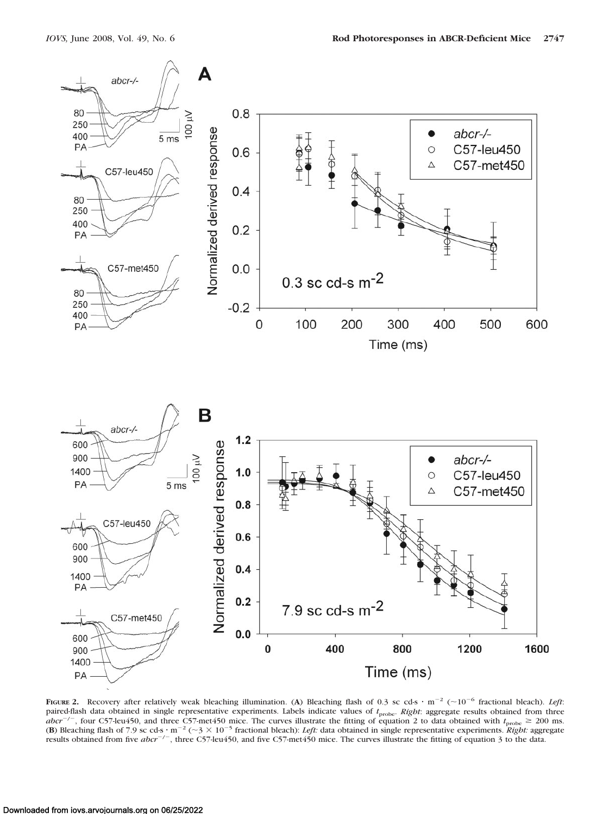

**FIGURE** 2. Recovery after relatively weak bleaching illumination. (A) Bleaching flash of 0.3 sc cd-s  $\cdot$  m<sup>-2</sup> ( $\sim$ 10<sup>-6</sup> fractional bleach). *Left*: paired-flash data obtained in single representative experiments. Labels indicate values of  $t_{\text{probe}}$ . *Right*: aggregate results obtained from three  $abcr^{-/-}$ , four C57-leu450, and three C57-met450 mice. The curves illustrate the fitting of equation 2 to data obtained with  $t_{\text{probe}} \ge 200$  ms. **(B)** Bleaching flash of 7.9 sc cd-s  $\cdot$  m<sup>-2</sup> ( $\sim$ 3  $\times$  10<sup>-5</sup> fractional bleach): *Left:* data obtained in single representative experiments. *Right:* aggregate results obtained from five *abcr<sup>-/-</sup>*, three C57-leu450, and five C57-met450 mice. The curves illustrate the fitting of equation 3 to the data.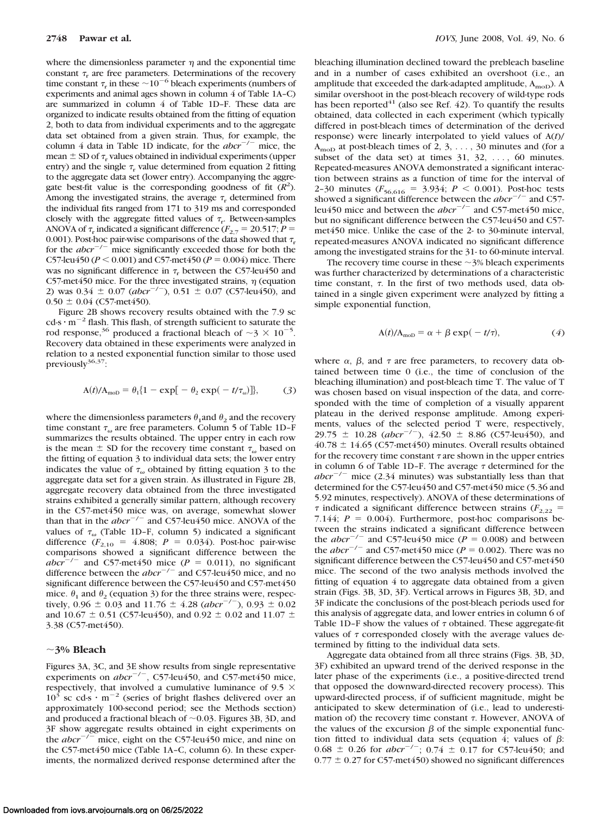where the dimensionless parameter  $\eta$  and the exponential time constant  $\tau_r$  are free parameters. Determinations of the recovery time constant  $\tau_r$  in these  $\sim 10^{-6}$  bleach experiments (numbers of experiments and animal ages shown in column 4 of Table 1A–C) are summarized in column 4 of Table 1D–F. These data are organized to indicate results obtained from the fitting of equation 2, both to data from individual experiments and to the aggregate data set obtained from a given strain. Thus, for example, the column 4 data in Table 1D indicate, for the  $abcr^{-/-}$  mice, the mean  $\pm$  SD of  $\tau$ , values obtained in individual experiments (upper entry) and the single  $\tau_r$  value determined from equation 2 fitting to the aggregate data set (lower entry). Accompanying the aggregate best-fit value is the corresponding goodness of fit  $(R<sup>2</sup>)$ . Among the investigated strains, the average  $\tau_r$  determined from the individual fits ranged from 171 to 319 ms and corresponded closely with the aggregate fitted values of  $\tau_r$ . Between-samples ANOVA of  $\tau_r$  indicated a significant difference  $(F_{2,7} = 20.517; P =$ 0.001). Post-hoc pair-wise comparisons of the data showed that  $\tau_r$ for the  $abcr^{-/-}$  mice significantly exceeded those for both the C57-leu450 ( $P < 0.001$ ) and C57-met450 ( $P = 0.004$ ) mice. There was no significant difference in  $\tau_r$  between the C57-leu450 and C57-met450 mice. For the three investigated strains,  $\eta$  (equation 2) was  $0.34 \pm 0.07$  (*abcr<sup>-/-</sup>)*,  $0.51 \pm 0.07$  (C57-leu450), and  $0.50 \pm 0.04$  (C57-met450).

Figure 2B shows recovery results obtained with the 7.9 sc  $cd-s \cdot m^{-2}$  flash. This flash, of strength sufficient to saturate the rod response,<sup>36</sup> produced a fractional bleach of  $\sim$ 3  $\times$  10<sup>-5</sup>. Recovery data obtained in these experiments were analyzed in relation to a nested exponential function similar to those used previously<sup>36,37</sup>:

$$
A(t)/A_{\text{mol}} = \theta_1 \{ 1 - \exp[-\theta_2 \exp(-t/\tau_{\omega})] \}, \tag{3}
$$

where the dimensionless parameters  $\theta_1$  and  $\theta_2$  and the recovery time constant  $\tau_{\omega}$  are free parameters. Column 5 of Table 1D-F summarizes the results obtained. The upper entry in each row is the mean  $\pm$  SD for the recovery time constant  $\tau_{\omega}$  based on the fitting of equation 3 to individual data sets; the lower entry indicates the value of  $\tau_{\omega}$  obtained by fitting equation 3 to the aggregate data set for a given strain. As illustrated in Figure 2B, aggregate recovery data obtained from the three investigated strains exhibited a generally similar pattern, although recovery in the C57-met450 mice was, on average, somewhat slower than that in the *abcr*<sup>-/-</sup> and C57-leu450 mice. ANOVA of the values of  $\tau_{\omega}$  (Table 1D–F, column 5) indicated a significant difference  $(F_{2,10} = 4.808; P = 0.034)$ . Post-hoc pair-wise comparisons showed a significant difference between the  $abc\overline{r}^{-/-}$  and C57-met450 mice ( $P = 0.011$ ), no significant difference between the  $abcr^{-/-}$  and C57-leu450 mice, and no significant difference between the C57-leu450 and C57-met450 mice.  $\theta_1$  and  $\theta_2$  (equation 3) for the three strains were, respectively,  $0.96 \pm 0.03$  and  $11.76 \pm 4.28$  (*abcr<sup>-/-</sup>)*,  $0.93 \pm 0.02$ and 10.67  $\pm$  0.51 (C57-leu450), and 0.92  $\pm$  0.02 and 11.07  $\pm$ 3.38 (C57-met450).

# -**3% Bleach**

Figures 3A, 3C, and 3E show results from single representative experiments on  $abcr^{-/-}$ , C57-leu450, and C57-met450 mice, respectively, that involved a cumulative luminance of 9.5  $\times$  $10^3$  sc cd-s  $\cdot$  m<sup>-2</sup> (series of bright flashes delivered over an approximately 100-second period; see the Methods section) and produced a fractional bleach of  $\sim 0.03$ . Figures 3B, 3D, and 3F show aggregate results obtained in eight experiments on the  $abcr^{-1}$  mice, eight on the C57-leu450 mice, and nine on the C57-met450 mice (Table 1A-C, column 6). In these experiments, the normalized derived response determined after the bleaching illumination declined toward the prebleach baseline and in a number of cases exhibited an overshoot (i.e., an amplitude that exceeded the dark-adapted amplitude,  $A_{\text{mod}}$ ). A similar overshoot in the post-bleach recovery of wild-type rods has been reported $41$  (also see Ref. 42). To quantify the results obtained, data collected in each experiment (which typically differed in post-bleach times of determination of the derived response) were linearly interpolated to yield values of A(*t*)/  $A_{\text{mod}}$  at post-bleach times of 2, 3, ..., 30 minutes and (for a subset of the data set) at times  $31, 32, \ldots$ , 60 minutes. Repeated-measures ANOVA demonstrated a significant interaction between strains as a function of time for the interval of 2-30 minutes ( $F_{56,616} = 3.934$ ;  $P < 0.001$ ). Post-hoc tests showed a significant difference between the  $abcr^{-/-}$  and C57leu450 mice and between the *abcr*<sup>-/-</sup> and C57-met450 mice, but no significant difference between the C57-leu450 and C57 met450 mice. Unlike the case of the 2- to 30-minute interval, repeated-measures ANOVA indicated no significant difference among the investigated strains for the 31- to 60-minute interval.

The recovery time course in these  $\sim$ 3% bleach experiments was further characterized by determinations of a characteristic time constant,  $\tau$ . In the first of two methods used, data obtained in a single given experiment were analyzed by fitting a simple exponential function,

$$
A(t)/A_{\text{mol}} = \alpha + \beta \exp(-t/\tau), \qquad (4)
$$

where  $\alpha$ ,  $\beta$ , and  $\tau$  are free parameters, to recovery data obtained between time 0 (i.e., the time of conclusion of the bleaching illumination) and post-bleach time T. The value of T was chosen based on visual inspection of the data, and corresponded with the time of completion of a visually apparent plateau in the derived response amplitude. Among experiments, values of the selected period T were, respectively, 29.75  $\pm$  10.28 (*abcr<sup>-/-</sup>)*, 42.50  $\pm$  8.86 (C57-leu450), and  $40.78 \pm 14.65$  (C57-met450) minutes. Overall results obtained for the recovery time constant  $\tau$  are shown in the upper entries in column 6 of Table 1D–F. The average  $\tau$  determined for the  $abcr^{-/-}$  mice (2.34 minutes) was substantially less than that determined for the C57-leu450 and C57-met450 mice (5.36 and 5.92 minutes, respectively). ANOVA of these determinations of  $\tau$  indicated a significant difference between strains ( $F_{2,22}$  = 7.144;  $P = 0.004$ ). Furthermore, post-hoc comparisons between the strains indicated a significant difference between the *abcr*<sup> $-/-$ </sup> and C57-leu450 mice (*P* = 0.008) and between the *abcr*<sup> $-/-$ </sup> and C57-met450 mice ( $P = 0.002$ ). There was no significant difference between the C57-leu450 and C57-met450 mice. The second of the two analysis methods involved the fitting of equation 4 to aggregate data obtained from a given strain (Figs. 3B, 3D, 3F). Vertical arrows in Figures 3B, 3D, and 3F indicate the conclusions of the post-bleach periods used for this analysis of aggregate data, and lower entries in column 6 of Table 1D–F show the values of  $\tau$  obtained. These aggregate-fit values of  $\tau$  corresponded closely with the average values determined by fitting to the individual data sets.

Aggregate data obtained from all three strains (Figs. 3B, 3D, 3F) exhibited an upward trend of the derived response in the later phase of the experiments (i.e., a positive-directed trend that opposed the downward-directed recovery process). This upward-directed process, if of sufficient magnitude, might be anticipated to skew determination of (i.e., lead to underestimation of) the recovery time constant  $\tau$ . However, ANOVA of the values of the excursion  $\beta$  of the simple exponential function fitted to individual data sets (equation 4; values of  $\beta$ :  $0.68 \pm 0.26$  for *abcr*<sup>-/-</sup>;  $0.74 \pm 0.17$  for C57-leu450; and  $0.77 \pm 0.27$  for C57-met450) showed no significant differences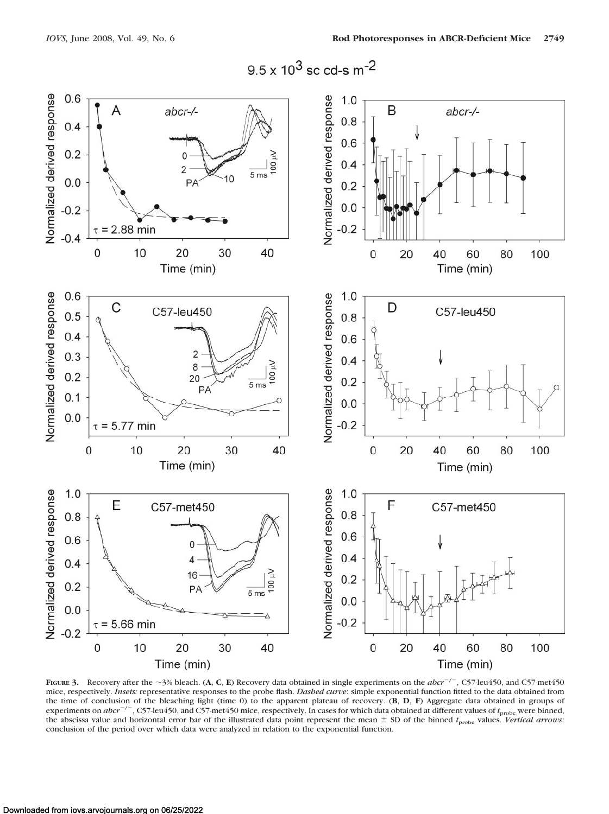



**FIGURE 3.** Recovery after the  $\sim$ 3% bleach. (**A**, **C**, **E**) Recovery data obtained in single experiments on the *abcr*<sup>-/-</sup>, C57-leu450, and C57-met450 mice, respectively. *Insets:* representative responses to the probe flash. *Dashed curve*: simple exponential function fitted to the data obtained from the time of conclusion of the bleaching light (time 0) to the apparent plateau of recovery. (**B**, **D**, **F**) Aggregate data obtained in groups of experiments on *abcr*<sup>-/-</sup>, C57-leu450, and C57-met450 mice, respectively. In cases for which data obtained at different values of *t*<sub>probe</sub> were binned, the abscissa value and horizontal error bar of the illustrated data point represent the mean  $\pm$  SD of the binned  $t_{\text{probe}}$  values. *Vertical arrows*: conclusion of the period over which data were analyzed in relation to the exponential function.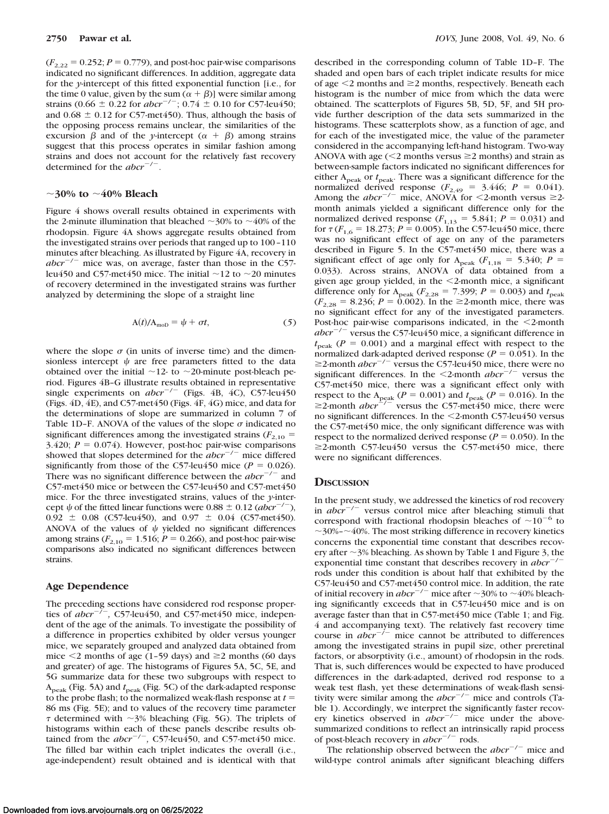$(F_{2,22} = 0.252; P = 0.779)$ , and post-hoc pair-wise comparisons indicated no significant differences. In addition, aggregate data for the *y*-intercept of this fitted exponential function [i.e., for the time 0 value, given by the sum  $(\alpha + \beta)$ ] were similar among strains (0.66  $\pm$  0.22 for *abcr*<sup>-/-</sup>; 0.74  $\pm$  0.10 for C57-leu450; and  $0.68 \pm 0.12$  for C57-met450). Thus, although the basis of the opposing process remains unclear, the similarities of the excursion  $\beta$  and of the *y*-intercept  $(\alpha + \beta)$  among strains suggest that this process operates in similar fashion among strains and does not account for the relatively fast recovery determined for the *abcr*<sup>-/-</sup>.

# ~30% to ~40% Bleach

Figure 4 shows overall results obtained in experiments with the 2-minute illumination that bleached  $\sim$ 30% to  $\sim$ 40% of the rhodopsin. Figure 4A shows aggregate results obtained from the investigated strains over periods that ranged up to 100 –110 minutes after bleaching. As illustrated by Figure 4A, recovery in  $abcr^{-/-}$  mice was, on average, faster than those in the C57leu450 and C57-met450 mice. The initial  $\sim$ 12 to  $\sim$ 20 minutes of recovery determined in the investigated strains was further analyzed by determining the slope of a straight line

$$
A(t)/A_{\text{mol}} = \psi + \sigma t, \qquad (5)
$$

where the slope  $\sigma$  (in units of inverse time) and the dimensionless intercept  $\psi$  are free parameters fitted to the data obtained over the initial  $\sim$ 12- to  $\sim$ 20-minute post-bleach period. Figures 4B–G illustrate results obtained in representative single experiments on  $abcr^{-/-}$  (Figs. 4B, 4C), C57-leu450 (Figs. 4D, 4E), and C57-met450 (Figs. 4F, 4G) mice, and data for the determinations of slope are summarized in column 7 of Table 1D-F. ANOVA of the values of the slope  $\sigma$  indicated no significant differences among the investigated strains  $(F_{2,10} =$ 3.420;  $P = 0.074$ ). However, post-hoc pair-wise comparisons showed that slopes determined for the  $abcr^{-/-}$  mice differed significantly from those of the C57-leu450 mice ( $P = 0.026$ ). There was no significant difference between the  $abcr^{-/-}$  and C57-met450 mice or between the C57-leu450 and C57-met450 mice. For the three investigated strains, values of the *y*-intercept  $\psi$  of the fitted linear functions were 0.88  $\pm$  0.12 (*abcr<sup>-/-</sup>*),  $0.92 \pm 0.08$  (C57-leu450), and  $0.97 \pm 0.04$  (C57-met450). ANOVA of the values of  $\psi$  yielded no significant differences among strains ( $F_{2,10} = 1.516$ ;  $P = 0.266$ ), and post-hoc pair-wise comparisons also indicated no significant differences between strains.

#### **Age Dependence**

The preceding sections have considered rod response properties of  $abcr^{-/-}$ , C57-leu450, and C57-met450 mice, independent of the age of the animals. To investigate the possibility of a difference in properties exhibited by older versus younger mice, we separately grouped and analyzed data obtained from mice  $\leq$  months of age (1-59 days) and  $\geq$  months (60 days and greater) of age. The histograms of Figures 5A, 5C, 5E, and 5G summarize data for these two subgroups with respect to A<sub>peak</sub> (Fig. 5A) and  $t_{\text{peak}}$  (Fig. 5C) of the dark-adapted response to the probe flash; to the normalized weak-flash response at *t* 86 ms (Fig. 5E); and to values of the recovery time parameter  $\tau$  determined with  $\sim$ 3% bleaching (Fig. 5G). The triplets of histograms within each of these panels describe results obtained from the  $abcr^{-/-}$ , C57-leu450, and C57-met450 mice. The filled bar within each triplet indicates the overall (i.e., age-independent) result obtained and is identical with that

described in the corresponding column of Table 1D–F. The shaded and open bars of each triplet indicate results for mice of age  $\leq$  2 months and  $\geq$  2 months, respectively. Beneath each histogram is the number of mice from which the data were obtained. The scatterplots of Figures 5B, 5D, 5F, and 5H provide further description of the data sets summarized in the histograms. These scatterplots show, as a function of age, and for each of the investigated mice, the value of the parameter considered in the accompanying left-hand histogram. Two-way ANOVA with age  $\leq 2$  months versus  $\geq 2$  months) and strain as between-sample factors indicated no significant differences for either A<sub>peak</sub> or  $t_{\text{peak}}$ . There was a significant difference for the normalized derived response  $(F_{2,49} = 3.446; P = 0.041)$ . Among the *abcr*<sup>-/-</sup> mice, ANOVA for <2-month versus  $\geq$ 2month animals yielded a significant difference only for the normalized derived response  $(F_{1,13} = 5.841; P = 0.031)$  and for  $\tau (F_{1,6} = 18.273; P = 0.005)$ . In the C57-leu450 mice, there was no significant effect of age on any of the parameters described in Figure 5. In the C57-met450 mice, there was a significant effect of age only for  $A_{peak}$  ( $F_{1,18}$  = 5.340; *P* = 0.033). Across strains, ANOVA of data obtained from a given age group yielded, in the 2-month mice, a significant difference only for  $A_{peak}$  ( $F_{2,28}$  = 7.399;  $P = 0.003$ ) and  $t_{peak}$  $(F_{2,28} = 8.236; P = 0.002)$ . In the  $\geq$ 2-month mice, there was no significant effect for any of the investigated parameters. Post-hoc pair-wise comparisons indicated, in the  $\leq$ 2-month  $abcr^{-/-}$  versus the C57-leu450 mice, a significant difference in  $t_{\text{peak}}$  ( $P = 0.001$ ) and a marginal effect with respect to the normalized dark-adapted derived response ( $P = 0.051$ ). In the  $\geq$ 2-month *abcr<sup>-/-</sup>* versus the C57-leu450 mice, there were no significant differences. In the  $\leq$ 2-month *abcr*<sup>-/-</sup> versus the C57-met450 mice, there was a significant effect only with respect to the A<sub>peak</sub> ( $P = 0.001$ ) and  $t_{\text{peak}}$  ( $P = 0.016$ ). In the  $\geq$ 2-month *abcr*<sup> $P_{7}^{\text{peak}}$ </sup> versus the C57-met450 mice, there were no significant differences. In the  $\leq$ 2-month C57-leu450 versus the C57-met450 mice, the only significant difference was with respect to the normalized derived response ( $P = 0.050$ ). In the  $\geq$ 2-month C57-leu450 versus the C57-met450 mice, there were no significant differences.

#### **DISCUSSION**

In the present study, we addressed the kinetics of rod recovery in  $abcr^{-/-}$  versus control mice after bleaching stimuli that correspond with fractional rhodopsin bleaches of  $\sim 10^{-6}$  to  $\sim$  30%- $\sim$  40%. The most striking difference in recovery kinetics concerns the exponential time constant that describes recovery after  $\sim$ 3% bleaching. As shown by Table 1 and Figure 3, the exponential time constant that describes recovery in  $abcr^{-1}$ rods under this condition is about half that exhibited by the C57-leu450 and C57-met450 control mice. In addition, the rate of initial recovery in  $abcr^{-/-}$  mice after  $\sim$ 30% to  $\sim$ 40% bleaching significantly exceeds that in C57-leu450 mice and is on average faster than that in C57-met450 mice (Table 1; and Fig. 4 and accompanying text). The relatively fast recovery time course in  $abcr^{-/-}$  mice cannot be attributed to differences among the investigated strains in pupil size, other preretinal factors, or absorptivity (i.e., amount) of rhodopsin in the rods. That is, such differences would be expected to have produced differences in the dark-adapted, derived rod response to a weak test flash, yet these determinations of weak-flash sensitivity were similar among the *abcr*<sup>-/-</sup> mice and controls (Table 1). Accordingly, we interpret the significantly faster recovery kinetics observed in  $abcr^{-/-}$  mice under the abovesummarized conditions to reflect an intrinsically rapid process of post-bleach recovery in *abcr*<sup>-/-</sup> rods.

The relationship observed between the  $abcr^{-/-}$  mice and wild-type control animals after significant bleaching differs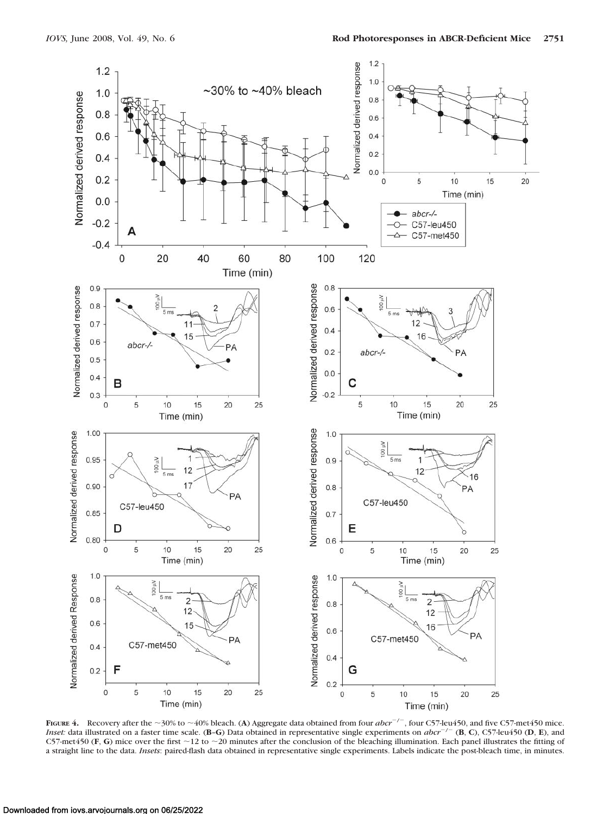

**FIGURE 4.** Recovery after the  $\sim$  30% to  $\sim$  40% bleach. (A) Aggregate data obtained from four *abcr*<sup>-/-</sup>, four C57-leu450, and five C57-met450 mice. *Inset:* data illustrated on a faster time scale. (**B–G**) Data obtained in representative single experiments on  $abcr^{-/-}$  (**B**, **C**), C57-leu450 (**D**, **E**), and C57-met450 (F, G) mice over the first  $\sim$ 12 to  $\sim$ 20 minutes after the conclusion of the bleaching illumination. Each panel illustrates the fitting of a straight line to the data. *Insets*: paired-flash data obtained in representative single experiments. Labels indicate the post-bleach time, in minutes.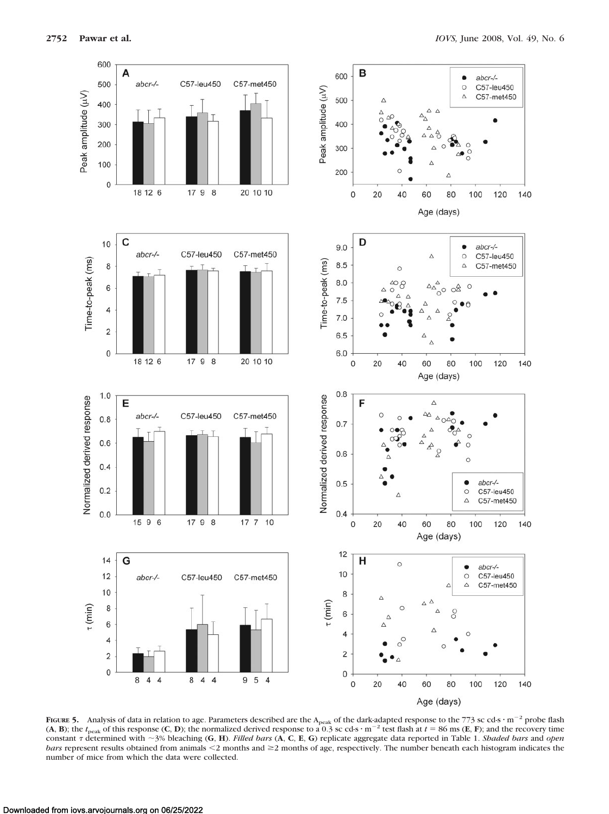

**FIGURE 5.** Analysis of data in relation to age. Parameters described are the A<sub>peak</sub> of the dark-adapted response to the 773 sc cd-s  $\cdot$  m<sup>-2</sup> probe flash (A, **B**); the  $t_{\text{peak}}$  of this response (C, **D**); the normalized derived response to a 0.3 sc cd-s  $\cdot$  m<sup>-2</sup> test flash at  $t = 86 \text{ ms}$  (**E**, **F**); and the recovery time constant determined with -3% bleaching (**G**, **H**). *Filled bars* (**A**, **C**, **E**, **G**) replicate aggregate data reported in Table 1. *Shaded bars* and *open bars* represent results obtained from animals <2 months and ≥2 months of age, respectively. The number beneath each histogram indicates the number of mice from which the data were collected.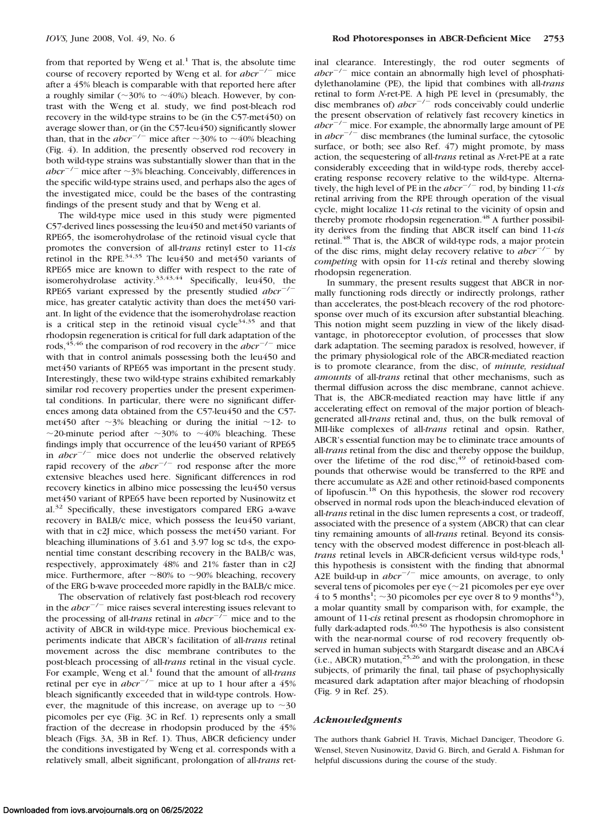from that reported by Weng et al.<sup>1</sup> That is, the absolute time course of recovery reported by Weng et al. for  $abcr^{-/-}$  mice after a 45% bleach is comparable with that reported here after a roughly similar ( $\sim$ 30% to  $\sim$ 40%) bleach. However, by contrast with the Weng et al. study, we find post-bleach rod recovery in the wild-type strains to be (in the C57-met450) on average slower than, or (in the C57-leu450) significantly slower than, that in the *abcr*<sup> $-/-$ </sup> mice after  $\sim$ 30% to  $\sim$ 40% bleaching (Fig. 4). In addition, the presently observed rod recovery in both wild-type strains was substantially slower than that in the  $abcr^{-/-}$  mice after  $\sim$ 3% bleaching. Conceivably, differences in the specific wild-type strains used, and perhaps also the ages of the investigated mice, could be the bases of the contrasting findings of the present study and that by Weng et al.

The wild-type mice used in this study were pigmented C57-derived lines possessing the leu450 and met450 variants of RPE65, the isomerohydrolase of the retinoid visual cycle that promotes the conversion of all-*trans* retinyl ester to 11-*cis* retinol in the RPE. $34,35$  The leu450 and met450 variants of RPE65 mice are known to differ with respect to the rate of isomerohydrolase activity.<sup>33,43,44</sup> Specifically, leu450, the RPE65 variant expressed by the presently studied  $abcr^{-/-}$ mice, has greater catalytic activity than does the met450 variant. In light of the evidence that the isomerohydrolase reaction is a critical step in the retinoid visual cycle<sup>34,35</sup> and that rhodopsin regeneration is critical for full dark adaptation of the rods,<sup>45,46</sup> the comparison of rod recovery in the  $abcr^{-/-}$  mice with that in control animals possessing both the leu450 and met450 variants of RPE65 was important in the present study. Interestingly, these two wild-type strains exhibited remarkably similar rod recovery properties under the present experimental conditions. In particular, there were no significant differences among data obtained from the C57-leu450 and the C57 met450 after  $\sim$ 3% bleaching or during the initial  $\sim$ 12- to ~20-minute period after ~30% to ~40% bleaching. These findings imply that occurrence of the leu450 variant of RPE65 in  $abcr^{-/-}$  mice does not underlie the observed relatively rapid recovery of the *abcr*<sup>-/-</sup> rod response after the more extensive bleaches used here. Significant differences in rod recovery kinetics in albino mice possessing the leu450 versus met450 variant of RPE65 have been reported by Nusinowitz et al.<sup>32</sup> Specifically, these investigators compared ERG a-wave recovery in BALB/c mice, which possess the leu450 variant, with that in c2J mice, which possess the met450 variant. For bleaching illuminations of 3.61 and 3.97 log sc td-s, the exponential time constant describing recovery in the BALB/c was, respectively, approximately 48% and 21% faster than in c2J mice. Furthermore, after  $\sim$ 80% to  $\sim$ 90% bleaching, recovery of the ERG b-wave proceeded more rapidly in the BALB/c mice.

The observation of relatively fast post-bleach rod recovery in the  $abcr^{-/-}$  mice raises several interesting issues relevant to the processing of all-*trans* retinal in  $abcr^{-/-}$  mice and to the activity of ABCR in wild-type mice. Previous biochemical experiments indicate that ABCR's facilitation of all-*trans* retinal movement across the disc membrane contributes to the post-bleach processing of all-*trans* retinal in the visual cycle. For example, Weng et al.<sup>1</sup> found that the amount of all-*trans* retinal per eye in  $abcr^{-/-}$  mice at up to 1 hour after a 45% bleach significantly exceeded that in wild-type controls. However, the magnitude of this increase, on average up to  $\sim$ 30 picomoles per eye (Fig. 3C in Ref. 1) represents only a small fraction of the decrease in rhodopsin produced by the 45% bleach (Figs. 3A, 3B in Ref. 1). Thus, ABCR deficiency under the conditions investigated by Weng et al. corresponds with a relatively small, albeit significant, prolongation of all-*trans* retinal clearance. Interestingly, the rod outer segments of  $abcr^{-/-}$  mice contain an abnormally high level of phosphatidylethanolamine (PE), the lipid that combines with all-*trans* retinal to form *N*-ret-PE. A high PE level in (presumably, the disc membranes of)  $abcr^{-/-}$  rods conceivably could underlie the present observation of relatively fast recovery kinetics in *abcr*<sup>-/-</sup> mice. For example, the abnormally large amount of PE in  $abcr^{-/-}$  disc membranes (the luminal surface, the cytosolic surface, or both; see also Ref. 47) might promote, by mass action, the sequestering of all-*trans* retinal as *N*-ret-PE at a rate considerably exceeding that in wild-type rods, thereby accelerating response recovery relative to the wild-type. Alterna-<br>tively, the high level of PE in the *abcr*<sup>-/-</sup> rod, by binding 11-*cis* retinal arriving from the RPE through operation of the visual cycle, might localize 11-*cis* retinal to the vicinity of opsin and thereby promote rhodopsin regeneration.<sup>48</sup> A further possibility derives from the finding that ABCR itself can bind 11-*cis* retinal.<sup>48</sup> That is, the ABCR of wild-type rods, a major protein of the disc rims, might delay recovery relative to  $abcr^{-/-}$  by *competing* with opsin for 11-*cis* retinal and thereby slowing rhodopsin regeneration.

In summary, the present results suggest that ABCR in normally functioning rods directly or indirectly prolongs, rather than accelerates, the post-bleach recovery of the rod photoresponse over much of its excursion after substantial bleaching. This notion might seem puzzling in view of the likely disadvantage, in photoreceptor evolution, of processes that slow dark adaptation. The seeming paradox is resolved, however, if the primary physiological role of the ABCR-mediated reaction is to promote clearance, from the disc, of *minute, residual amounts* of all-*trans* retinal that other mechanisms, such as thermal diffusion across the disc membrane, cannot achieve. That is, the ABCR-mediated reaction may have little if any accelerating effect on removal of the major portion of bleachgenerated all-*trans* retinal and, thus, on the bulk removal of MII-like complexes of all-*trans* retinal and opsin. Rather, ABCR's essential function may be to eliminate trace amounts of all-*trans* retinal from the disc and thereby oppose the buildup, over the lifetime of the rod disc,  $49$  of retinoid-based compounds that otherwise would be transferred to the RPE and there accumulate as A2E and other retinoid-based components of lipofuscin.18 On this hypothesis, the slower rod recovery observed in normal rods upon the bleach-induced elevation of all-*trans* retinal in the disc lumen represents a cost, or tradeoff, associated with the presence of a system (ABCR) that can clear tiny remaining amounts of all-*trans* retinal. Beyond its consistency with the observed modest difference in post-bleach all*trans* retinal levels in ABCR-deficient versus wild-type rods,<sup>1</sup> this hypothesis is consistent with the finding that abnormal A2E build-up in  $abcr^{-/-}$  mice amounts, on average, to only several tens of picomoles per eye  $(\sim]21$  picomoles per eye over 4 to 5 months<sup>1</sup>;  $\sim$ 30 picomoles per eye over 8 to 9 months<sup>43</sup>), a molar quantity small by comparison with, for example, the amount of 11-*cis* retinal present as rhodopsin chromophore in fully dark-adapted rods. $40,50$  The hypothesis is also consistent with the near-normal course of rod recovery frequently observed in human subjects with Stargardt disease and an ABCA4 (i.e., ABCR) mutation, $25,26$  and with the prolongation, in these subjects, of primarily the final, tail phase of psychophysically measured dark adaptation after major bleaching of rhodopsin (Fig. 9 in Ref. 25).

### *Acknowledgments*

The authors thank Gabriel H. Travis, Michael Danciger, Theodore G. Wensel, Steven Nusinowitz, David G. Birch, and Gerald A. Fishman for helpful discussions during the course of the study.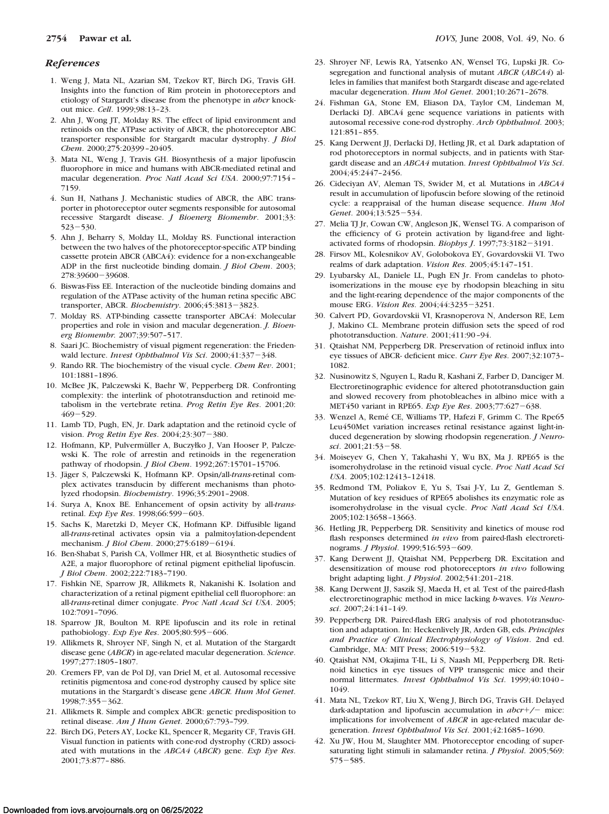### *References*

- 1. Weng J, Mata NL, Azarian SM, Tzekov RT, Birch DG, Travis GH. Insights into the function of Rim protein in photoreceptors and etiology of Stargardt's disease from the phenotype in *abcr* knockout mice. *Cell*. 1999;98:13–23.
- 2. Ahn J, Wong JT, Molday RS. The effect of lipid environment and retinoids on the ATPase activity of ABCR, the photoreceptor ABC transporter responsible for Stargardt macular dystrophy. *J Biol Chem*. 2000;275:20399 –20405.
- 3. Mata NL, Weng J, Travis GH. Biosynthesis of a major lipofuscin fluorophore in mice and humans with ABCR-mediated retinal and macular degeneration. *Proc Natl Acad Sci USA*. 2000;97:7154 – 7159.
- 4. Sun H, Nathans J. Mechanistic studies of ABCR, the ABC transporter in photoreceptor outer segments responsible for autosomal recessive Stargardt disease. *J Bioenerg Biomembr*. 2001;33:  $523 - 530.$
- 5. Ahn J, Beharry S, Molday LL, Molday RS. Functional interaction between the two halves of the photoreceptor-specific ATP binding cassette protein ABCR (ABCA4): evidence for a non-exchangeable ADP in the first nucleotide binding domain. *J Biol Chem*. 2003; 278:39600-39608.
- 6. Biswas-Fiss EE. Interaction of the nucleotide binding domains and regulation of the ATPase activity of the human retina specific ABC transporter, ABCR. *Biochemistry*. 2006;45:3813-3823.
- 7. Molday RS. ATP-binding cassette transporter ABCA4: Molecular properties and role in vision and macular degeneration. *J. Bioenerg Biomembr.* 2007;39:507–517.
- 8. Saari JC. Biochemistry of visual pigment regeneration: the Friedenwald lecture. *Invest Ophthalmol Vis Sci.* 2000;41:337-348.
- 9. Rando RR. The biochemistry of the visual cycle. *Chem Rev*. 2001; 101:1881–1896.
- 10. McBee JK, Palczewski K, Baehr W, Pepperberg DR. Confronting complexity: the interlink of phototransduction and retinoid metabolism in the vertebrate retina. *Prog Retin Eye Res*. 2001;20:  $469 - 529.$
- 11. Lamb TD, Pugh, EN, Jr. Dark adaptation and the retinoid cycle of vision. *Prog Retin Eye Res.* 2004;23:307-380.
- 12. Hofmann, KP, Pulvermüller A, Buczyłko J, Van Hooser P, Palczewski K. The role of arrestin and retinoids in the regeneration pathway of rhodopsin. *J Biol Chem*. 1992;267:15701–15706.
- 13. Jäger S, Palczewski K, Hofmann KP. Opsin/all-trans-retinal complex activates transducin by different mechanisms than photolyzed rhodopsin. *Biochemistry*. 1996;35:2901–2908.
- 14. Surya A, Knox BE. Enhancement of opsin activity by all-*trans*retinal. *Exp Eye Res.* 1998;66:599-603.
- 15. Sachs K, Maretzki D, Meyer CK, Hofmann KP. Diffusible ligand all-*trans*-retinal activates opsin via a palmitoylation-dependent mechanism. *J Biol Chem.* 2000;275:6189-6194.
- 16. Ben-Shabat S, Parish CA, Vollmer HR, et al*.* Biosynthetic studies of A2E, a major fluorophore of retinal pigment epithelial lipofuscin. *J Biol Chem*. 2002;222:7183–7190.
- 17. Fishkin NE, Sparrow JR, Allikmets R, Nakanishi K. Isolation and characterization of a retinal pigment epithelial cell fluorophore: an all-*trans*-retinal dimer conjugate. *Proc Natl Acad Sci USA*. 2005; 102:7091–7096.
- 18. Sparrow JR, Boulton M. RPE lipofuscin and its role in retinal pathobiology. *Exp Eye Res.* 2005;80:595-606.
- 19. Allikmets R, Shroyer NF, Singh N, et al. Mutation of the Stargardt disease gene (*ABCR*) in age-related macular degeneration. *Science*. 1997;277:1805–1807.
- 20. Cremers FP, van de Pol DJ, van Driel M, et al. Autosomal recessive retinitis pigmentosa and cone-rod dystrophy caused by splice site mutations in the Stargardt's disease gene *ABCR. Hum Mol Genet*. 1998;7:355-362.
- 21. Allikmets R. Simple and complex ABCR: genetic predisposition to retinal disease. *Am J Hum Genet*. 2000;67:793–799.
- 22. Birch DG, Peters AY, Locke KL, Spencer R, Megarity CF, Travis GH. Visual function in patients with cone-rod dystrophy (CRD) associated with mutations in the *ABCA4* (*ABCR*) gene. *Exp Eye Res*. 2001;73:877– 886.
- 23. Shroyer NF, Lewis RA, Yatsenko AN, Wensel TG, Lupski JR. Cosegregation and functional analysis of mutant *ABCR* (*ABCA4*) alleles in families that manifest both Stargardt disease and age-related macular degeneration. *Hum Mol Genet*. 2001;10:2671–2678.
- 24. Fishman GA, Stone EM, Eliason DA, Taylor CM, Lindeman M, Derlacki DJ. ABCA4 gene sequence variations in patients with autosomal recessive cone-rod dystrophy. *Arch Ophthalmol*. 2003; 121:851– 855.
- 25. Kang Derwent JJ, Derlacki DJ, Hetling JR, et al*.* Dark adaptation of rod photoreceptors in normal subjects, and in patients with Stargardt disease and an *ABCA4* mutation. *Invest Ophthalmol Vis Sci*. 2004;45:2447–2456.
- 26. Cideciyan AV, Aleman TS, Swider M, et al*.* Mutations in *ABCA4* result in accumulation of lipofuscin before slowing of the retinoid cycle: a reappraisal of the human disease sequence. *Hum Mol* Genet. 2004;13:525-534.
- 27. Melia TJ Jr, Cowan CW, Angleson JK, Wensel TG. A comparison of the efficiency of G protein activation by ligand-free and lightactivated forms of rhodopsin. *Biophys J.* 1997;73:3182-3191.
- 28. Firsov ML, Kolesnikov AV, Golobokova EY, Govardovskii VI. Two realms of dark adaptation. *Vision Res*. 2005;45:147–151.
- 29. Lyubarsky AL, Daniele LL, Pugh EN Jr. From candelas to photoisomerizations in the mouse eye by rhodopsin bleaching in situ and the light-rearing dependence of the major components of the mouse ERG. *Vision Res.* 2004;44:3235-3251.
- 30. Calvert PD, Govardovskii VI, Krasnoperova N, Anderson RE, Lem J, Makino CL. Membrane protein diffusion sets the speed of rod phototransduction. *Nature*. 2001;411:90 –94.
- 31. Qtaishat NM, Pepperberg DR. Preservation of retinoid influx into eye tissues of ABCR- deficient mice. *Curr Eye Res*. 2007;32:1073– 1082.
- 32. Nusinowitz S, Nguyen L, Radu R, Kashani Z, Farber D, Danciger M. Electroretinographic evidence for altered phototransduction gain and slowed recovery from photobleaches in albino mice with a MET450 variant in RPE65. *Exp Eye Res*. 2003;77:627-638.
- 33. Wenzel A, Remé CE, Williams TP, Hafezi F, Grimm C. The Rpe65 Leu450Met variation increases retinal resistance against light-induced degeneration by slowing rhodopsin regeneration. *J Neuro*sci. 2001;21:53-58.
- 34. Moiseyev G, Chen Y, Takahashi Y, Wu BX, Ma J. RPE65 is the isomerohydrolase in the retinoid visual cycle. *Proc Natl Acad Sci USA*. 2005;102:12413–12418.
- 35. Redmond TM, Poliakov E, Yu S, Tsai J-Y, Lu Z, Gentleman S. Mutation of key residues of RPE65 abolishes its enzymatic role as isomerohydrolase in the visual cycle. *Proc Natl Acad Sci USA*. 2005;102:13658 –13663.
- 36. Hetling JR, Pepperberg DR. Sensitivity and kinetics of mouse rod flash responses determined *in vivo* from paired-flash electroretinograms. *J Physiol*. 1999;516:593-609.
- 37. Kang Derwent JJ, Qtaishat NM, Pepperberg DR. Excitation and desensitization of mouse rod photoreceptors *in vivo* following bright adapting light. *J Physiol*. 2002;541:201–218.
- 38. Kang Derwent JJ, Saszik SJ, Maeda H, et al*.* Test of the paired-flash electroretinographic method in mice lacking *b*-waves. *Vis Neurosci*. 2007;24:141–149.
- 39. Pepperberg DR. Paired-flash ERG analysis of rod phototransduction and adaptation. In: Heckenlively JR, Arden GB, eds. *Principles and Practice of Clinical Electrophysiology of Vision*. 2nd ed. Cambridge, MA: MIT Press; 2006:519-532.
- 40. Qtaishat NM, Okajima T-IL, Li S, Naash MI, Pepperberg DR. Retinoid kinetics in eye tissues of VPP transgenic mice and their normal littermates. *Invest Ophthalmol Vis Sci*. 1999;40:1040 – 1049.
- 41. Mata NL, Tzekov RT, Liu X, Weng J, Birch DG, Travis GH. Delayed dark-adaptation and lipofuscin accumulation in  $abcr+/-$  mice: implications for involvement of *ABCR* in age-related macular degeneration. *Invest Ophthalmol Vis Sci*. 2001;42:1685–1690.
- 42. Xu JW, Hou M, Slaughter MM. Photoreceptor encoding of supersaturating light stimuli in salamander retina. *J Physiol*. 2005;569:  $575 - 585.$